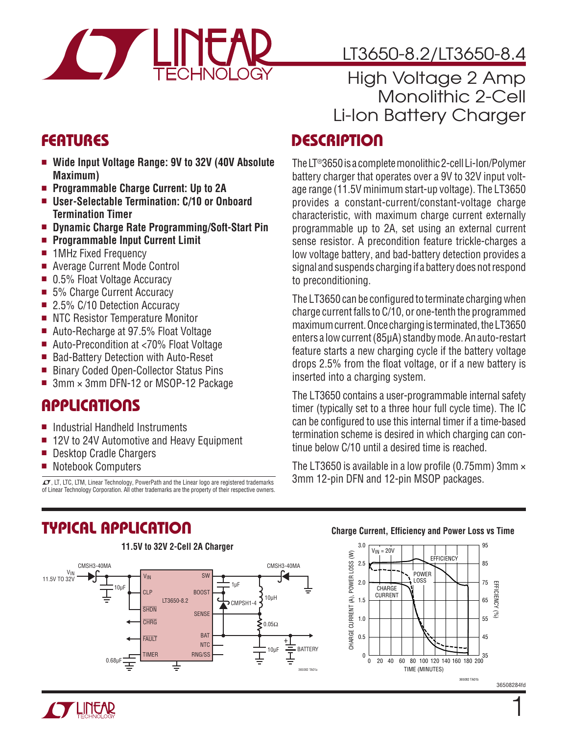

# LT3650-8.2/LT3650-8.4

## High Voltage 2 Amp Monolithic 2-Cell Li-Ion Battery Charger

## **FEATURES**

- Wide Input Voltage Range: 9V to 32V (40V Absolute **Maximum)**
- <sup>n</sup> **Programmable Charge Current: Up to 2A**
- User-Selectable Termination: C/10 or Onboard **Termination Timer**
- Dynamic Charge Rate Programming/Soft-Start Pin
- <sup>n</sup> **Programmable Input Current Limit**
- 1MHz Fixed Frequency
- Average Current Mode Control
- $\blacksquare$  0.5% Float Voltage Accuracy
- 5% Charge Current Accuracy
- 2.5% C/10 Detection Accuracy
- NTC Resistor Temperature Monitor
- Auto-Recharge at 97.5% Float Voltage
- Auto-Precondition at <70% Float Voltage
- Bad-Battery Detection with Auto-Reset
- Binary Coded Open-Collector Status Pins
- $\blacksquare$  3mm  $\times$  3mm DFN-12 or MSOP-12 Package

## Applications

- Industrial Handheld Instruments
- $\blacksquare$  12V to 24V Automotive and Heavy Equipment
- Desktop Cradle Chargers
- Notebook Computers

 $\textbf{T}$ , LT, LTC, LTM, Linear Technology, PowerPath and the Linear logo are registered trademarks of Linear Technology Corporation. All other trademarks are the property of their respective owners.

## **DESCRIPTION**

TheLT®3650 is a completemonolithic 2-cellLi-Ion/Polymer battery charger that operates over a 9V to 32V input voltage range (11.5V minimum start-up voltage). The LT3650 provides a constant-current/constant-voltage charge characteristic, with maximum charge current externally programmable up to 2A, set using an external current sense resistor. A precondition feature trickle-charges a low voltage battery, and bad-battery detection provides a signal and suspends charging if a battery does not respond to preconditioning.

The LT3650 can be configured to terminate charging when charge current falls to C/10, or one-tenth the programmed maximum current. Once charging is terminated, the LT3650 enters a low current (85µA) standby mode. An auto-restart feature starts a new charging cycle if the battery voltage drops 2.5% from the float voltage, or if a new battery is inserted into a charging system.

The LT3650 contains a user-programmable internal safety timer (typically set to a three hour full cycle time). The IC can be configured to use this internal timer if a time-based termination scheme is desired in which charging can continue below C/10 until a desired time is reached.

The LT3650 is available in a low profile (0.75mm) 3mm  $\times$ 3mm 12-pin DFN and 12-pin MSOP packages.

# Typical Application



#### **Charge Current, Efficiency and Power Loss vs Time**



36508284fd

1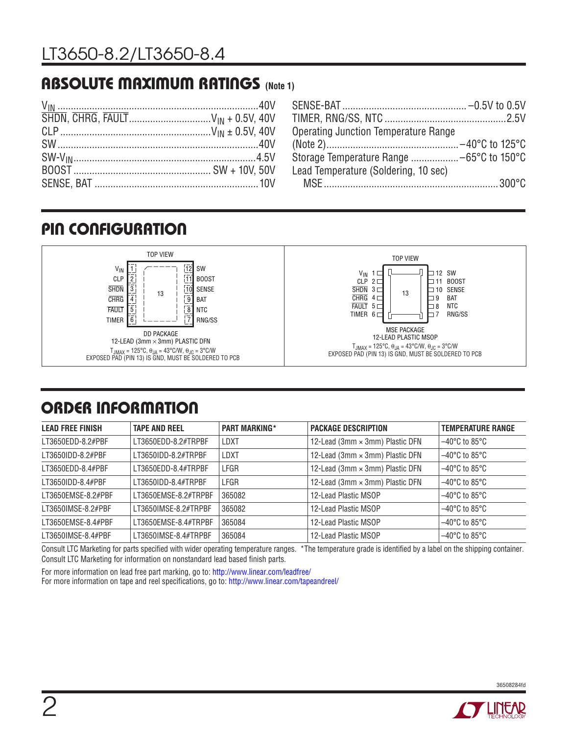## Absolute Maximum Ratings **(Note 1)**

| <b>Operating Junction Temperature Range</b> |  |
|---------------------------------------------|--|
|                                             |  |
|                                             |  |
| Lead Temperature (Soldering, 10 sec)        |  |
|                                             |  |

## Pin Configuration



# ORDER INFORMATION

| <b>LEAD FREE FINISH</b> | <b>TAPE AND REEL</b> | <b>PART MARKING*</b> | <b>PACKAGE DESCRIPTION</b>      | <b>TEMPERATURE RANGE</b>           |
|-------------------------|----------------------|----------------------|---------------------------------|------------------------------------|
| LT3650EDD-8.2#PBF       | LT3650EDD-8.2#TRPBF  | LDXT                 | 12-Lead (3mm × 3mm) Plastic DFN | $-40^{\circ}$ C to 85 $^{\circ}$ C |
| LT3650IDD-8.2#PBF       | LT3650IDD-8.2#TRPBF  | LDXT                 | 12-Lead (3mm × 3mm) Plastic DFN | $-40^{\circ}$ C to 85 $^{\circ}$ C |
| LT3650EDD-8.4#PBF       | LT3650EDD-8.4#TRPBF  | LFGR                 | 12-Lead (3mm × 3mm) Plastic DFN | $-40^{\circ}$ C to 85 $^{\circ}$ C |
| LT3650IDD-8.4#PBF       | LT3650IDD-8.4#TRPBF  | LFGR                 | 12-Lead (3mm × 3mm) Plastic DFN | $-40^{\circ}$ C to 85 $^{\circ}$ C |
| LT3650EMSE-8.2#PBF      | LT3650EMSE-8.2#TRPBF | 365082               | 12-Lead Plastic MSOP            | $-40^{\circ}$ C to 85 $^{\circ}$ C |
| LT3650IMSE-8.2#PBF      | LT3650IMSE-8.2#TRPBF | 365082               | 12-Lead Plastic MSOP            | $-40^{\circ}$ C to 85 $^{\circ}$ C |
| LT3650EMSE-8.4#PBF      | LT3650EMSE-8.4#TRPBF | 365084               | 12-Lead Plastic MSOP            | $-40^{\circ}$ C to 85 $^{\circ}$ C |
| LT3650IMSE-8.4#PBF      | LT3650IMSE-8.4#TRPBF | 365084               | 12-Lead Plastic MSOP            | $-40^{\circ}$ C to 85 $^{\circ}$ C |

Consult LTC Marketing for parts specified with wider operating temperature ranges. \*The temperature grade is identified by a label on the shipping container. Consult LTC Marketing for information on nonstandard lead based finish parts.

For more information on lead free part marking, go to: http://www.linear.com/leadfree/

For more information on tape and reel specifications, go to: http://www.linear.com/tapeandreel/

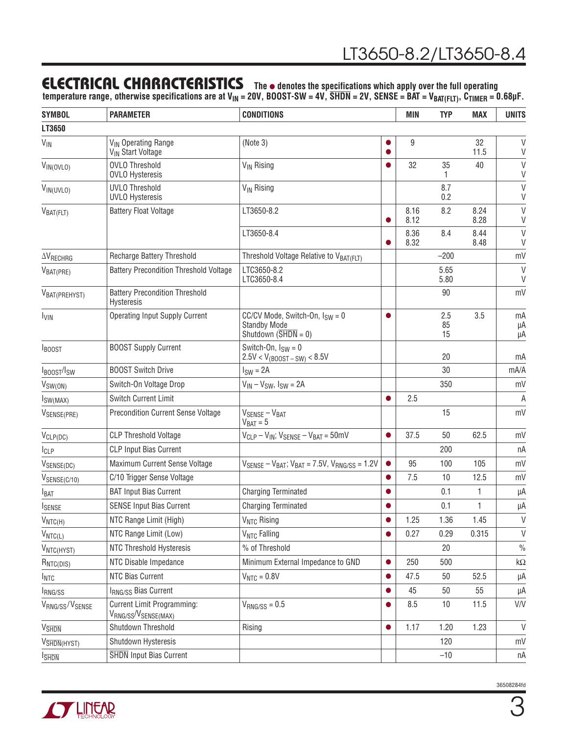### **ELECTRICAL CHARACTERISTICS** The  $\bullet$  denotes the specifications which apply over the full operating

**temperature range, otherwise specifications are at VIN = 20V, BOOST-SW = 4V, SHDN = 2V, SENSE = BAT = VBAT(FLT), CTIMER = 0.68µF.**

| <b>SYMBOL</b>            | <b>PARAMETER</b>                                                 | <b>CONDITIONS</b>                                                                                     |           | <b>MIN</b>   | <b>TYP</b>      | <b>MAX</b>   | <b>UNITS</b>   |
|--------------------------|------------------------------------------------------------------|-------------------------------------------------------------------------------------------------------|-----------|--------------|-----------------|--------------|----------------|
| LT3650                   |                                                                  |                                                                                                       |           |              |                 |              |                |
| $V_{\text{IN}}$          | V <sub>IN</sub> Operating Range<br>V <sub>IN</sub> Start Voltage | (Note 3)                                                                                              |           | 9            |                 | 32<br>11.5   | V<br>V         |
| $V_{IN(OVLO)}$           | <b>OVLO Threshold</b><br><b>OVLO Hysteresis</b>                  | <b>V<sub>IN</sub></b> Rising                                                                          |           | 32           | 35<br>1         | 40           | V<br>V         |
| VIN(UVLO)                | <b>UVLO Threshold</b><br><b>UVLO Hysteresis</b>                  | V <sub>IN</sub> Rising                                                                                |           |              | 8.7<br>0.2      |              | $\vee$<br>V    |
| $V_{BAT(FLT)}$           | <b>Battery Float Voltage</b>                                     | LT3650-8.2                                                                                            |           | 8.16<br>8.12 | 8.2             | 8.24<br>8.28 | $\vee$<br>V    |
|                          |                                                                  | LT3650-8.4                                                                                            |           | 8.36<br>8.32 | 8.4             | 8.44<br>8.48 | $\vee$<br>V    |
| $\Delta V_{RECHRG}$      | Recharge Battery Threshold                                       | Threshold Voltage Relative to VBAT(FLT)                                                               |           |              | $-200$          |              | mV             |
| V <sub>BAT(PRE)</sub>    | <b>Battery Precondition Threshold Voltage</b>                    | LTC3650-8.2<br>LTC3650-8.4                                                                            |           |              | 5.65<br>5.80    |              | V<br>V         |
| VBAT (PREHYST)           | <b>Battery Precondition Threshold</b><br><b>Hysteresis</b>       |                                                                                                       |           |              | 90              |              | mV             |
| <b>I<sub>VIN</sub></b>   | <b>Operating Input Supply Current</b>                            | CC/CV Mode, Switch-On, $I_{SW} = 0$<br><b>Standby Mode</b><br>Shutdown $(\overline{\text{SHDN}} = 0)$ | $\bullet$ |              | 2.5<br>85<br>15 | 3.5          | mA<br>μA<br>μA |
| <b>IBOOST</b>            | <b>BOOST Supply Current</b>                                      | Switch-On, $I_{SW} = 0$<br>$2.5V < V_{(BOOST-SW)} < 8.5V$                                             |           |              | 20              |              | mA             |
| IBOOST/ISW               | <b>BOOST Switch Drive</b>                                        | $ISW = 2A$                                                                                            |           |              | 30              |              | mA/A           |
| $V_{SW(ON)}$             | Switch-On Voltage Drop                                           | $V_{IN} - V_{SW}$ , $I_{SW} = 2A$                                                                     |           |              | 350             |              | mV             |
| $I_{SW(MAX)}$            | <b>Switch Current Limit</b>                                      |                                                                                                       |           | 2.5          |                 |              | A              |
| VSENSE(PRE)              | <b>Precondition Current Sense Voltage</b>                        | $V_{\text{SENSE}} - V_{\text{BAT}}$<br>$V_{BAT} = 5$                                                  |           |              | 15              |              | mV             |
| $V_{CLP(DC)}$            | <b>CLP Threshold Voltage</b>                                     | $V_{CLP} - V_{IN}$ ; $V_{SENSE} - V_{BAT} = 50$ mV                                                    | $\bullet$ | 37.5         | 50              | 62.5         | mV             |
| $I_{CLP}$                | <b>CLP Input Bias Current</b>                                    |                                                                                                       |           |              | 200             |              | пA             |
| V <sub>SENSE(DC)</sub>   | Maximum Current Sense Voltage                                    | $V_{SENSE} - V_{BAT}$ ; $V_{BAT} = 7.5V$ , $V_{RNG/SS} = 1.2V$                                        | $\bullet$ | 95           | 100             | 105          | mV             |
| $V_{SENSE(C/10)}$        | C/10 Trigger Sense Voltage                                       |                                                                                                       |           | 7.5          | 10              | 12.5         | mV             |
| <b>I</b> BAT             | <b>BAT Input Bias Current</b>                                    | <b>Charging Terminated</b>                                                                            |           |              | 0.1             | 1            | μA             |
| <b>ISENSE</b>            | <b>SENSE Input Bias Current</b>                                  | <b>Charging Terminated</b>                                                                            |           |              | 0.1             | 1            | μA             |
| $V_{NTC(H)}$             | NTC Range Limit (High)                                           | V <sub>NTC</sub> Rising                                                                               |           | 1.25         | 1.36            | 1.45         | V              |
| $V_{NTC(L)}$             | NTC Range Limit (Low)                                            | V <sub>NTC</sub> Falling                                                                              |           | 0.27         | 0.29            | 0.315        | V              |
| VNTC(HYST)               | NTC Threshold Hysteresis                                         | % of Threshold                                                                                        |           |              | 20              |              | $\frac{0}{0}$  |
| $R_{NTC(DIS)}$           | NTC Disable Impedance                                            | Minimum External Impedance to GND                                                                     | $\bullet$ | 250          | 500             |              | k $\Omega$     |
| <b>I</b> NTC             | NTC Bias Current                                                 | $VNTC = 0.8V$                                                                                         |           | 47.5         | 50              | 52.5         | μA             |
| <b>RNG/SS</b>            | IRNG/SS Bias Current                                             |                                                                                                       |           | 45           | 50              | 55           | μA             |
| VRNG/SS/VSENSE           | Current Limit Programming:<br>VRNG/SS <sup>/V</sup> SENSE(MAX)   | $V_{\text{RNG/SS}} = 0.5$                                                                             | ●         | 8.5          | 10              | 11.5         | V/V            |
| <b>V<sub>SHDN</sub></b>  | Shutdown Threshold                                               | Rising                                                                                                | $\bullet$ | 1.17         | 1.20            | 1.23         | V              |
| V <sub>SHDN</sub> (HYST) | Shutdown Hysteresis                                              |                                                                                                       |           |              | 120             |              | mV             |
| <b>SHDN</b>              | <b>SHDN</b> Input Bias Current                                   |                                                                                                       |           |              | $-10$           |              | пA             |

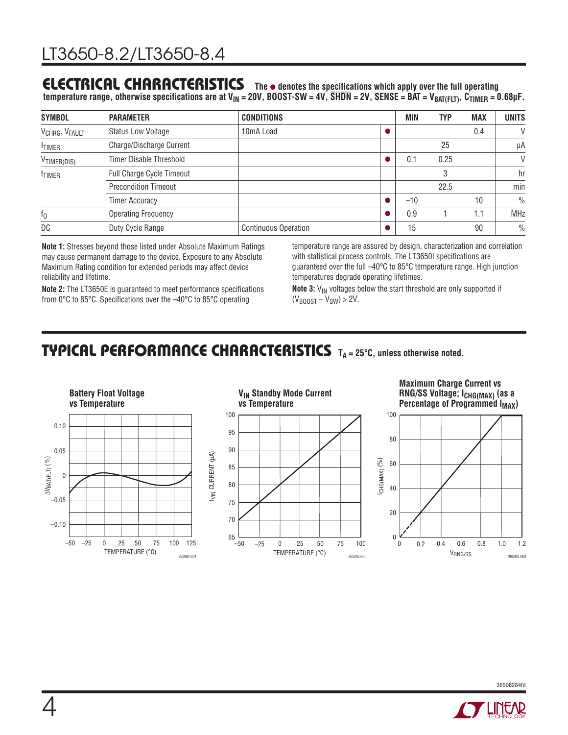## **ELECTRICAL CHARACTERISTICS** The  $\bullet$  denotes the specifications which apply over the full operating

 $t$ emperature range, otherwise specifications are at V<sub>IN</sub> = 20V, BOOST-SW = 4V, SHDN = 2V, SENSE = BAT = V<sub>BAT(FLT)</sub>, C<sub>TIMER</sub> = 0.68µF.

| <b>SYMBOL</b>                          | <b>PARAMETER</b>               | <b>CONDITIONS</b>           | <b>MIN</b> | <b>TYP</b> | <b>MAX</b> | <b>UNITS</b>  |
|----------------------------------------|--------------------------------|-----------------------------|------------|------------|------------|---------------|
| V <sub>CHRG</sub> , V <sub>FAULT</sub> | <b>Status Low Voltage</b>      | 10 <sub>m</sub> A Load      |            |            | 0.4        | V             |
| <b>TIMER</b>                           | Charge/Discharge Current       |                             |            | 25         |            | μA            |
| V <sub>TIMER(DIS)</sub>                | <b>Timer Disable Threshold</b> |                             | 0.1        | 0.25       |            | V             |
| <sup>t</sup> TIMER                     | Full Charge Cycle Timeout      |                             |            | 3          |            | hr            |
|                                        | <b>Precondition Timeout</b>    |                             |            | 22.5       |            | min           |
|                                        | <b>Timer Accuracy</b>          |                             | $-10$      |            | 10         | $\frac{0}{0}$ |
| $f_0$                                  | <b>Operating Frequency</b>     |                             | 0.9        |            | 1.1        | <b>MHz</b>    |
| DC                                     | Duty Cycle Range               | <b>Continuous Operation</b> | 15         |            | 90         | $\frac{0}{0}$ |

**Note 1:** Stresses beyond those listed under Absolute Maximum Ratings may cause permanent damage to the device. Exposure to any Absolute Maximum Rating condition for extended periods may affect device reliability and lifetime.

temperature range are assured by design, characterization and correlation with statistical process controls. The LT3650I specifications are guaranteed over the full –40°C to 85°C temperature range. High junction temperatures degrade operating lifetimes.

**Note 2:** The LT3650E is guaranteed to meet performance specifications from 0°C to 85°C. Specifications over the –40°C to 85°C operating

**Note 3:** V<sub>IN</sub> voltages below the start threshold are only supported if  $(V_{BODST} - V_{SW}) > 2V$ .

### **TYPICAL PERFORMANCE CHARACTERISTICS** TA = 25°C, unless otherwise noted.

TEMPERATURE (°C)

0 50 75

365082 G02



**Maximum Charge Current vs RNG/SS Voltage; ICHG(MAX) (as a Percentage of Programmed I<sub>MAX</sub>)** 



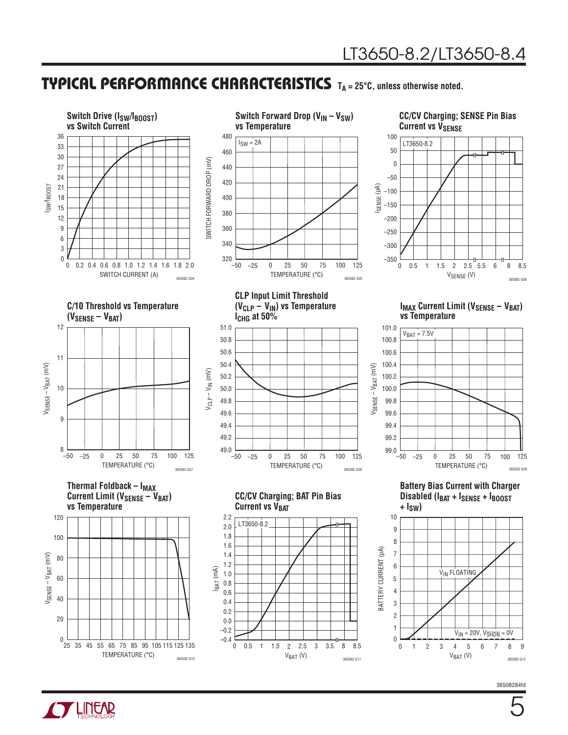### **TYPICAL PERFORMANCE CHARACTERISTICS** TA = 25°C, unless otherwise noted.





5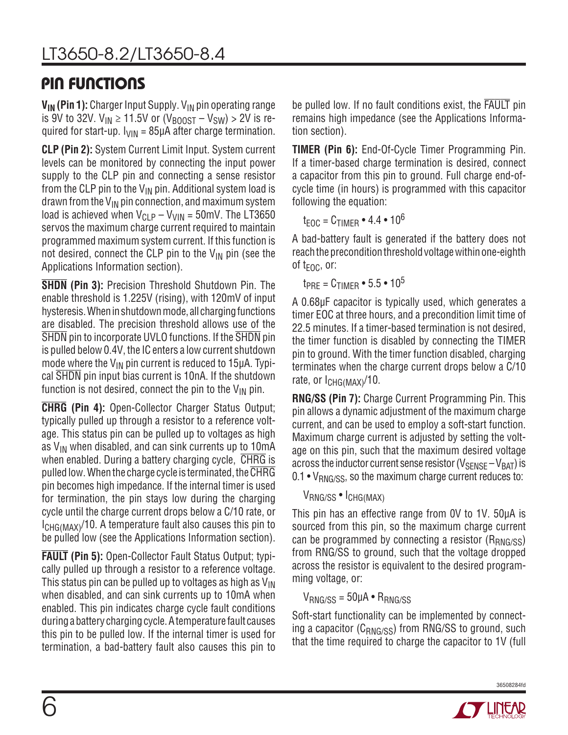## Pin Functions

**V<sub>IN</sub> (Pin 1):** Charger Input Supply. V<sub>IN</sub> pin operating range is 9V to 32V.  $V_{IN} \ge 11.5V$  or  $(V_{BOOST} - V_{SW}) > 2V$  is required for start-up.  $I_{VIN}$  = 85µA after charge termination.

**CLP (Pin 2):** System Current Limit Input. System current levels can be monitored by connecting the input power supply to the CLP pin and connecting a sense resistor from the CLP pin to the  $V_{IN}$  pin. Additional system load is drawn from the  $V_{IN}$  pin connection, and maximum system load is achieved when  $V_{CI,P} - V_{VIN} = 50$  mV. The LT3650 servos the maximum charge current required to maintain programmed maximum system current. If this function is not desired, connect the CLP pin to the  $V_{IN}$  pin (see the Applications Information section).

**SHDN (Pin 3):** Precision Threshold Shutdown Pin. The enable threshold is 1.225V (rising), with 120mV of input hysteresis. When in shutdown mode, all charging functions are disabled. The precision threshold allows use of the SHDN pin to incorporate UVLO functions. If the SHDN pin is pulled below 0.4V, the IC enters a low current shutdown mode where the  $V_{IN}$  pin current is reduced to 15 $\mu$ A. Typical SHDN pin input bias current is 10nA. If the shutdown function is not desired, connect the pin to the  $V_{IN}$  pin.

**CHRG (Pin 4):** Open-Collector Charger Status Output; typically pulled up through a resistor to a reference voltage. This status pin can be pulled up to voltages as high as  $V_{IN}$  when disabled, and can sink currents up to 10mA when enabled. During a battery charging cycle, CHRG is pulled low. When the charge cycle is terminated, the CHRG pin becomes high impedance. If the internal timer is used for termination, the pin stays low during the charging cycle until the charge current drops below a C/10 rate, or  $I_{CHG(MAX)}$ /10. A temperature fault also causes this pin to be pulled low (see the Applications Information section).

**FAULT (Pin 5):** Open-Collector Fault Status Output; typically pulled up through a resistor to a reference voltage. This status pin can be pulled up to voltages as high as  $V_{\text{IN}}$ when disabled, and can sink currents up to 10mA when enabled. This pin indicates charge cycle fault conditions during a battery charging cycle. A temperature fault causes this pin to be pulled low. If the internal timer is used for termination, a bad-battery fault also causes this pin to be pulled low. If no fault conditions exist, the FAULT pin remains high impedance (see the Applications Information section).

**TIMER (Pin 6):** End-Of-Cycle Timer Programming Pin. If a timer-based charge termination is desired, connect a capacitor from this pin to ground. Full charge end-ofcycle time (in hours) is programmed with this capacitor following the equation:

 $t_{\text{FOC}} = C_{\text{TIMFR}} \cdot 4.4 \cdot 10^6$ 

A bad-battery fault is generated if the battery does not reach the precondition threshold voltage within one-eighth of  $t_{\text{FOC}}$ , or:

 $t_{PRE} = C_{TIME} \cdot 5.5 \cdot 10^5$ 

A 0.68µF capacitor is typically used, which generates a timer EOC at three hours, and a precondition limit time of 22.5 minutes. If a timer-based termination is not desired, the timer function is disabled by connecting the TIMER pin to ground. With the timer function disabled, charging terminates when the charge current drops below a C/10 rate, or I<sub>CHG(MAX)</sub>/10.

**RNG/SS (Pin 7):** Charge Current Programming Pin. This pin allows a dynamic adjustment of the maximum charge current, and can be used to employ a soft-start function. Maximum charge current is adjusted by setting the voltage on this pin, such that the maximum desired voltage across the inductor current sense resistor ( $V_{\text{SENSE}} - V_{\text{BAT}}$ ) is  $0.1 \cdot V_{\text{RNG/SS}}$ , so the maximum charge current reduces to:

### VRNG/SS • ICHG(MAX)

This pin has an effective range from 0V to 1V. 50µA is sourced from this pin, so the maximum charge current can be programmed by connecting a resistor  $(R_{RNG/SS})$ from RNG/SS to ground, such that the voltage dropped across the resistor is equivalent to the desired programming voltage, or:

```
V_{RNG/SS} = 50 \mu A \cdot R_{RNG/SS}
```
Soft-start functionality can be implemented by connecting a capacitor ( $C_{RNG/SS}$ ) from RNG/SS to ground, such that the time required to charge the capacitor to 1V (full

36508284fd

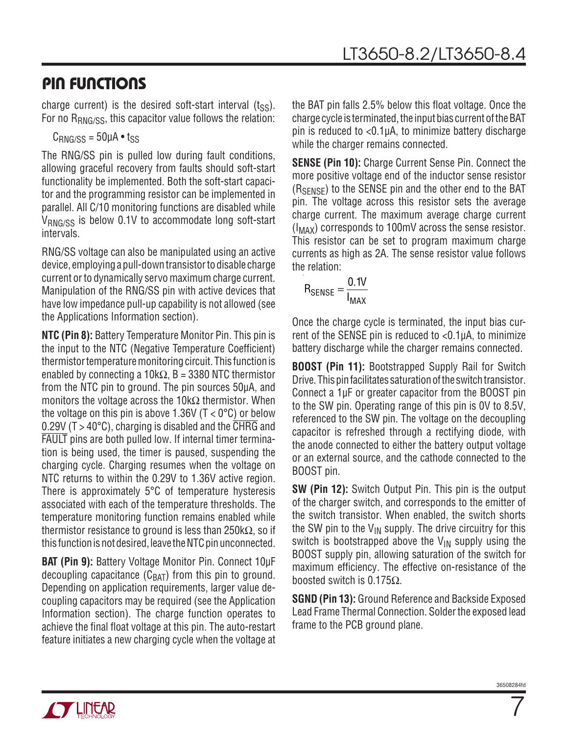### Pin Functions

charge current) is the desired soft-start interval  $(t_{\rm SS})$ . For no R<sub>RNG/SS</sub>, this capacitor value follows the relation:

 $C_{RNG/SS} = 50 \mu A \cdot t_{SS}$ 

The RNG/SS pin is pulled low during fault conditions, allowing graceful recovery from faults should soft-start functionality be implemented. Both the soft-start capacitor and the programming resistor can be implemented in parallel. All C/10 monitoring functions are disabled while  $V_{\text{RNG/SS}}$  is below 0.1V to accommodate long soft-start intervals.

RNG/SS voltage can also be manipulated using an active device, employing a pull-down transistor to disable charge current or to dynamically servo maximum charge current. Manipulation of the RNG/SS pin with active devices that have low impedance pull-up capability is not allowed (see the Applications Information section).

**NTC (Pin 8):** Battery Temperature Monitor Pin. This pin is the input to the NTC (Negative Temperature Coefficient) thermistor temperature monitoring circuit. This function is enabled by connecting a 10k $\Omega$ , B = 3380 NTC thermistor from the NTC pin to ground. The pin sources 50µA, and monitors the voltage across the 10k $\Omega$  thermistor. When the voltage on this pin is above 1.36V ( $T < 0^{\circ}$ C) or below 0.29V (T > 40 $^{\circ}$ C), charging is disabled and the  $\overline{\text{CHRG}}$  and FAULT pins are both pulled low. If internal timer termination is being used, the timer is paused, suspending the charging cycle. Charging resumes when the voltage on NTC returns to within the 0.29V to 1.36V active region. There is approximately 5°C of temperature hysteresis associated with each of the temperature thresholds. The temperature monitoring function remains enabled while thermistor resistance to ground is less than 250kΩ, so if this function is not desired, leave the NTC pin unconnected.

**BAT (Pin 9):** Battery Voltage Monitor Pin. Connect 10µF decoupling capacitance  $(C_{BAT})$  from this pin to ground. Depending on application requirements, larger value decoupling capacitors may be required (see the Application Information section). The charge function operates to achieve the final float voltage at this pin. The auto-restart feature initiates a new charging cycle when the voltage at

the BAT pin falls 2.5% below this float voltage. Once the charge cycle is terminated, the inputbias currentoftheBAT pin is reduced to <0.1µA, to minimize battery discharge while the charger remains connected.

**SENSE (Pin 10):** Charge Current Sense Pin. Connect the more positive voltage end of the inductor sense resistor (RSENSE) to the SENSE pin and the other end to the BAT pin. The voltage across this resistor sets the average charge current. The maximum average charge current  $(I_{MAX})$  corresponds to 100mV across the sense resistor. This resistor can be set to program maximum charge currents as high as 2A. The sense resistor value follows the relation:

$$
R_{\text{SENSE}} = \frac{0.1V}{I_{\text{MAX}}}
$$

Once the charge cycle is terminated, the input bias current of the SENSE pin is reduced to <0.1µA, to minimize battery discharge while the charger remains connected.

**BOOST (Pin 11):** Bootstrapped Supply Rail for Switch Drive. This pin facilitates saturation of the switch transistor. Connect a 1µF or greater capacitor from the BOOST pin to the SW pin. Operating range of this pin is 0V to 8.5V, referenced to the SW pin. The voltage on the decoupling capacitor is refreshed through a rectifying diode, with the anode connected to either the battery output voltage or an external source, and the cathode connected to the BOOST pin.

**SW (Pin 12):** Switch Output Pin. This pin is the output of the charger switch, and corresponds to the emitter of the switch transistor. When enabled, the switch shorts the SW pin to the  $V_{IN}$  supply. The drive circuitry for this switch is bootstrapped above the  $V_{IN}$  supply using the BOOST supply pin, allowing saturation of the switch for maximum efficiency. The effective on-resistance of the boosted switch is 0.175Ω.

**SGND (Pin 13):** Ground Reference and Backside Exposed Lead Frame Thermal Connection. Solder the exposed lead frame to the PCB ground plane.



7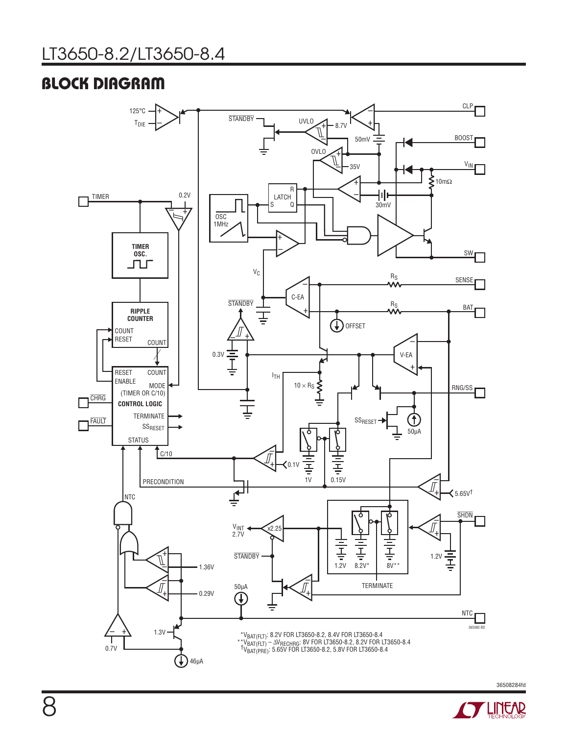# Block Diagram



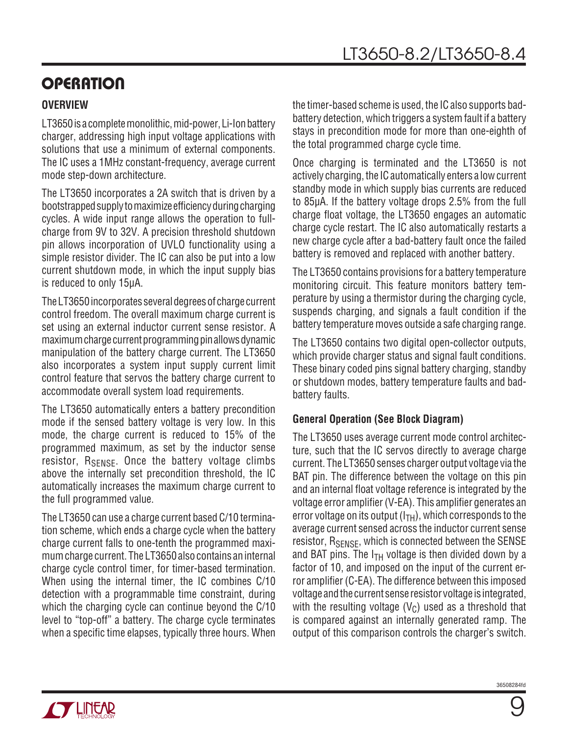# **OPERATION**

### **Overview**

LT3650 is a complete monolithic, mid-power, Li-Ion battery charger, addressing high input voltage applications with solutions that use a minimum of external components. The IC uses a 1MHz constant-frequency, average current mode step-down architecture.

The LT3650 incorporates a 2A switch that is driven by a bootstrapped supply to maximize efficiency during charging cycles. A wide input range allows the operation to fullcharge from 9V to 32V. A precision threshold shutdown pin allows incorporation of UVLO functionality using a simple resistor divider. The IC can also be put into a low current shutdown mode, in which the input supply bias is reduced to only 15µA.

The LT3650 incorporates several degrees of charge current control freedom. The overall maximum charge current is set using an external inductor current sense resistor. A maximum charge current programming pin allows dynamic manipulation of the battery charge current. The LT3650 also incorporates a system input supply current limit control feature that servos the battery charge current to accommodate overall system load requirements.

The LT3650 automatically enters a battery precondition mode if the sensed battery voltage is very low. In this mode, the charge current is reduced to 15% of the programmed maximum, as set by the inductor sense resistor,  $R_{\text{SENSF}}$ . Once the battery voltage climbs above the internally set precondition threshold, the IC automatically increases the maximum charge current to the full programmed value.

The LT3650 can use a charge current based C/10 termination scheme, which ends a charge cycle when the battery charge current falls to one-tenth the programmed maximum charge current. The LT3650 also contains an internal charge cycle control timer, for timer-based termination. When using the internal timer, the IC combines C/10 detection with a programmable time constraint, during which the charging cycle can continue beyond the C/10 level to "top-off" a battery. The charge cycle terminates when a specific time elapses, typically three hours. When the timer-based scheme is used, the IC also supports badbattery detection, which triggers a system fault if a battery stays in precondition mode for more than one-eighth of the total programmed charge cycle time.

Once charging is terminated and the LT3650 is not actively charging, the IC automatically enters a low current standby mode in which supply bias currents are reduced to 85µA. If the battery voltage drops 2.5% from the full charge float voltage, the LT3650 engages an automatic charge cycle restart. The IC also automatically restarts a new charge cycle after a bad-battery fault once the failed battery is removed and replaced with another battery.

The LT3650 contains provisions for a battery temperature monitoring circuit. This feature monitors battery temperature by using a thermistor during the charging cycle, suspends charging, and signals a fault condition if the battery temperature moves outside a safe charging range.

The LT3650 contains two digital open-collector outputs, which provide charger status and signal fault conditions. These binary coded pins signal battery charging, standby or shutdown modes, battery temperature faults and badbattery faults.

### **General Operation (See Block Diagram)**

The LT3650 uses average current mode control architecture, such that the IC servos directly to average charge current. The LT3650 senses charger output voltage via the BAT pin. The difference between the voltage on this pin and an internal float voltage reference is integrated by the voltage error amplifier (V-EA). This amplifier generates an error voltage on its output  $(I<sub>TH</sub>)$ , which corresponds to the average current sensed across the inductor current sense resistor, R<sub>SENSE</sub>, which is connected between the SENSE and BAT pins. The  $I<sub>TH</sub>$  voltage is then divided down by a factor of 10, and imposed on the input of the current error amplifier (C-EA). The difference between this imposed voltage and the current sense resistor voltage is integrated, with the resulting voltage  $(V<sub>C</sub>)$  used as a threshold that is compared against an internally generated ramp. The output of this comparison controls the charger's switch.

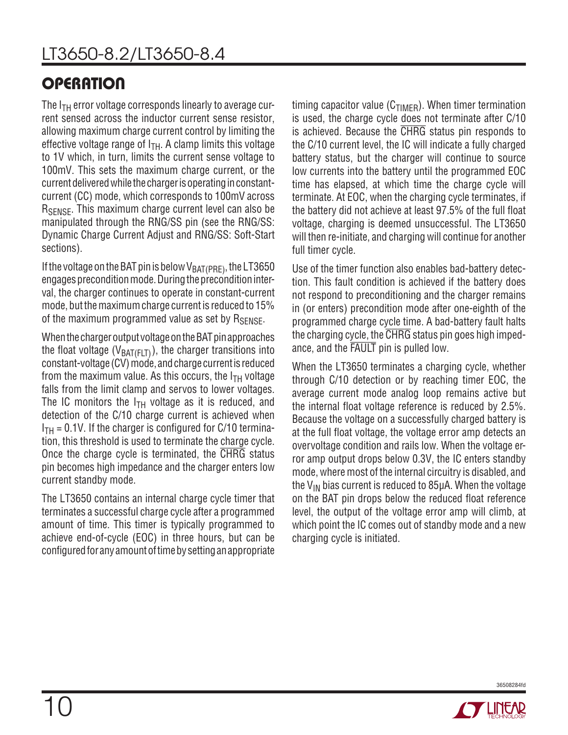# **OPERATION**

The  $I<sub>TH</sub>$  error voltage corresponds linearly to average current sensed across the inductor current sense resistor, allowing maximum charge current control by limiting the effective voltage range of  $I<sub>TH</sub>$ . A clamp limits this voltage to 1V which, in turn, limits the current sense voltage to 100mV. This sets the maximum charge current, or the current delivered while the charger is operating in constantcurrent (CC) mode, which corresponds to 100mV across R<sub>SENSE</sub>. This maximum charge current level can also be manipulated through the RNG/SS pin (see the RNG/SS: Dynamic Charge Current Adjust and RNG/SS: Soft-Start sections).

If the voltage on the BAT pin is below  $V_{BAT(PRE)}$ , the LT3650 engages precondition mode. During the precondition interval, the charger continues to operate in constant-current mode, but the maximum charge current is reduced to 15% of the maximum programmed value as set by  $R_{\text{SENSF}}$ .

When the charger output voltage on the BAT pin approaches the float voltage ( $V_{BAT(FLT)}$ ), the charger transitions into constant-voltage (CV) mode, and charge current is reduced from the maximum value. As this occurs, the  $I_{TH}$  voltage falls from the limit clamp and servos to lower voltages. The IC monitors the  $I<sub>TH</sub>$  voltage as it is reduced, and detection of the C/10 charge current is achieved when  $I_{TH}$  = 0.1V. If the charger is configured for C/10 termination, this threshold is used to terminate the charge cycle. Once the charge cycle is terminated, the CHRG status pin becomes high impedance and the charger enters low current standby mode.

The LT3650 contains an internal charge cycle timer that terminates a successful charge cycle after a programmed amount of time. This timer is typically programmed to achieve end-of-cycle (EOC) in three hours, but can be configured for any amount of time by setting an appropriate timing capacitor value ( $C_{TIMER}$ ). When timer termination is used, the charge cycle does not terminate after C/10 is achieved. Because the CHRG status pin responds to the C/10 current level, the IC will indicate a fully charged battery status, but the charger will continue to source low currents into the battery until the programmed EOC time has elapsed, at which time the charge cycle will terminate. At EOC, when the charging cycle terminates, if the battery did not achieve at least 97.5% of the full float voltage, charging is deemed unsuccessful. The LT3650 will then re-initiate, and charging will continue for another full timer cycle.

Use of the timer function also enables bad-battery detection. This fault condition is achieved if the battery does not respond to preconditioning and the charger remains in (or enters) precondition mode after one-eighth of the programmed charge cycle time. A bad-battery fault halts the charging cycle, the CHRG status pin goes high impedance, and the FAULT pin is pulled low.

When the LT3650 terminates a charging cycle, whether through C/10 detection or by reaching timer EOC, the average current mode analog loop remains active but the internal float voltage reference is reduced by 2.5%. Because the voltage on a successfully charged battery is at the full float voltage, the voltage error amp detects an overvoltage condition and rails low. When the voltage error amp output drops below 0.3V, the IC enters standby mode, where most of the internal circuitry is disabled, and the  $V_{IN}$  bias current is reduced to 85 $\mu$ A. When the voltage on the BAT pin drops below the reduced float reference level, the output of the voltage error amp will climb, at which point the IC comes out of standby mode and a new charging cycle is initiated.



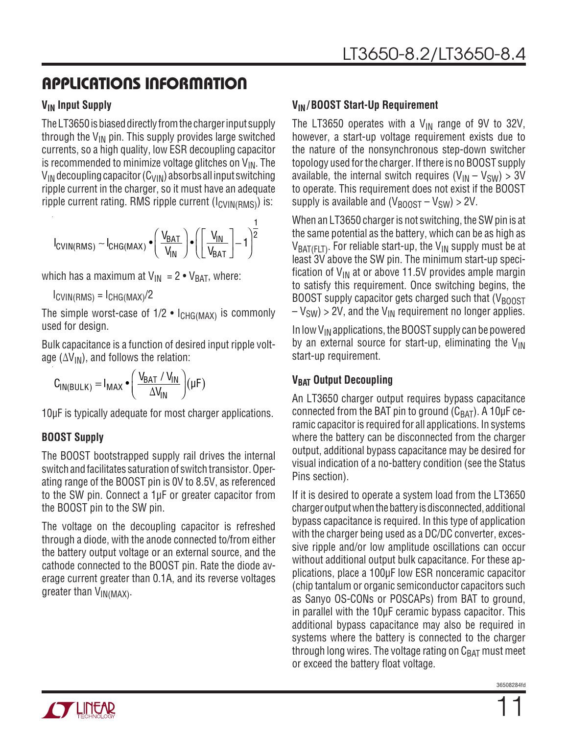### **V<sub>IN</sub>** Input Supply

The LT3650 is biased directly from the charger input supply through the  $V_{IN}$  pin. This supply provides large switched currents, so a high quality, low ESR decoupling capacitor is recommended to minimize voltage glitches on  $V_{IN}$ . The  $V_{IN}$  decoupling capacitor (C<sub>VIN</sub>) absorbs all input switching ripple current in the charger, so it must have an adequate ripple current rating. RMS ripple current  $(I_{CVIN(RMS)})$  is:

$$
I_{CVIN(RMS)} \sim I_{CHG(MAX)} \bullet \left(\frac{V_{BAT}}{V_{IN}}\right) \bullet \left(\left[\frac{V_{IN}}{V_{BAT}}\right]-1\right)^{\frac{1}{2}}
$$

which has a maximum at  $V_{IN} = 2 \cdot V_{BAT}$ , where:

 $I_{\text{CVIN(RMS)}} = I_{\text{CHG}(\text{MAX})}/2$ 

The simple worst-case of  $1/2$  •  $I_{CHG(MAX)}$  is commonly used for design.

Bulk capacitance is a function of desired input ripple voltage ( $\Delta V_{\text{IN}}$ ), and follows the relation:

$$
C_{IN(BULK)} = I_{MAX} \cdot \left(\frac{V_{BAT} / V_{IN}}{\Delta V_{IN}}\right) (\mu F)
$$

10µF is typically adequate for most charger applications.

### **BOOST Supply**

The BOOST bootstrapped supply rail drives the internal switch and facilitates saturation of switch transistor. Operating range of the BOOST pin is 0V to 8.5V, as referenced to the SW pin. Connect a 1µF or greater capacitor from the BOOST pin to the SW pin.

The voltage on the decoupling capacitor is refreshed through a diode, with the anode connected to/from either the battery output voltage or an external source, and the cathode connected to the BOOST pin. Rate the diode average current greater than 0.1A, and its reverse voltages greater than  $V_{IN(MAX)}$ .

### **VIN/ BOOST Start-Up Requirement**

The LT3650 operates with a  $V_{IN}$  range of 9V to 32V, however, a start-up voltage requirement exists due to the nature of the nonsynchronous step-down switcher topology used for the charger. If there is no BOOST supply available, the internal switch requires  $(V_{IN} - V_{SW}) > 3V$ to operate. This requirement does not exist if the BOOST supply is available and  $(V_{\text{BODST}} - V_{\text{SW}}) > 2V$ .

When an LT3650 charger is not switching, the SW pin is at the same potential as the battery, which can be as high as  $V_{BAT(FLT)}$ . For reliable start-up, the  $V_{IN}$  supply must be at least 3V above the SW pin. The minimum start-up specification of  $V_{IN}$  at or above 11.5V provides ample margin to satisfy this requirement. Once switching begins, the BOOST supply capacitor gets charged such that  $(V_{\text{BODST}})$  $-V_{SW}$ ) > 2V, and the V<sub>IN</sub> requirement no longer applies.

In low  $V_{IN}$  applications, the BOOST supply can be powered by an external source for start-up, eliminating the  $V_{IN}$ start-up requirement.

### **V<sub>BAT</sub>** Output Decoupling

An LT3650 charger output requires bypass capacitance connected from the BAT pin to ground  $(C_{BAT})$ . A 10 $\mu$ F ceramic capacitor is required for all applications. In systems where the battery can be disconnected from the charger output, additional bypass capacitance may be desired for visual indication of a no-battery condition (see the Status Pins section).

If it is desired to operate a system load from the LT3650 charger output when the battery is disconnected, additional bypass capacitance is required. In this type of application with the charger being used as a DC/DC converter, excessive ripple and/or low amplitude oscillations can occur without additional output bulk capacitance. For these applications, place a 100µF low ESR nonceramic capacitor (chip tantalum or organic semiconductor capacitors such as Sanyo OS-CONs or POSCAPs) from BAT to ground, in parallel with the 10µF ceramic bypass capacitor. This additional bypass capacitance may also be required in systems where the battery is connected to the charger through long wires. The voltage rating on  $C_{BAT}$  must meet or exceed the battery float voltage.

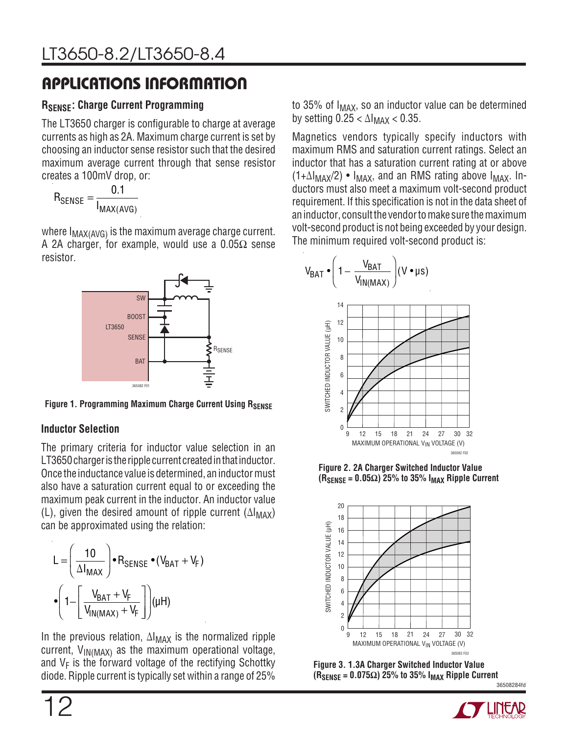### **RSENSE: Charge Current Programming**

The LT3650 charger is configurable to charge at average currents as high as 2A. Maximum charge current is set by choosing an inductor sense resistor such that the desired maximum average current through that sense resistor creates a 100mV drop, or:

$$
R_{\text{SENSE}} = \frac{0.1}{I_{\text{MAX(AVG)}}}
$$

where  $I_{MAX(AVG)}$  is the maximum average charge current. A 2A charger, for example, would use a  $0.05\Omega$  sense resistor.



**Figure 1. Programming Maximum Charge Current Using RSENSE** 

### **Inductor Selection**

The primary criteria for inductor value selection in an LT3650 charger is the ripple current created in that inductor. Once the inductance value is determined, an inductor must also have a saturation current equal to or exceeding the maximum peak current in the inductor. An inductor value (L), given the desired amount of ripple current  $(\Delta I_{MAX})$ can be approximated using the relation:

$$
L = \left(\frac{10}{\Delta I_{MAX}}\right) \cdot R_{SENSE} \cdot (V_{BAT} + V_F)
$$

$$
\cdot \left(1 - \left[\frac{V_{BAT} + V_F}{V_{IN(MAX)} + V_F}\right]\right) (\mu H)
$$

In the previous relation, ∆I<sub>MAX</sub> is the normalized ripple current,  $V_{IN(MAX)}$  as the maximum operational voltage, and  $V_F$  is the forward voltage of the rectifying Schottky diode. Ripple current is typically set within a range of 25% to 35% of  $I_{MAX}$ , so an inductor value can be determined by setting  $0.25 < \Delta I_{MAX} < 0.35$ .

Magnetics vendors typically specify inductors with maximum RMS and saturation current ratings. Select an inductor that has a saturation current rating at or above  $(1+\Delta I_{MAX}/2)$  •  $I_{MAX}$ , and an RMS rating above  $I_{MAX}$ . Inductors must also meet a maximum volt-second product requirement. If this specification is not in the data sheet of an inductor, consult the vendor to make sure the maximum volt-second product is not being exceeded by your design. The minimum required volt-second product is:



**Figure 2. 2A Charger Switched Inductor Value**   $(R_{\text{SENSE}} = 0.05\Omega)$  25% to 35%  $I_{\text{MAX}}$  Ripple Current



**Figure 3. 1.3A Charger Switched Inductor Value**   $(R_{\text{SENSE}} = 0.075\Omega)$  25% to 35%  $I_{\text{MAX}}$  Ripple Current

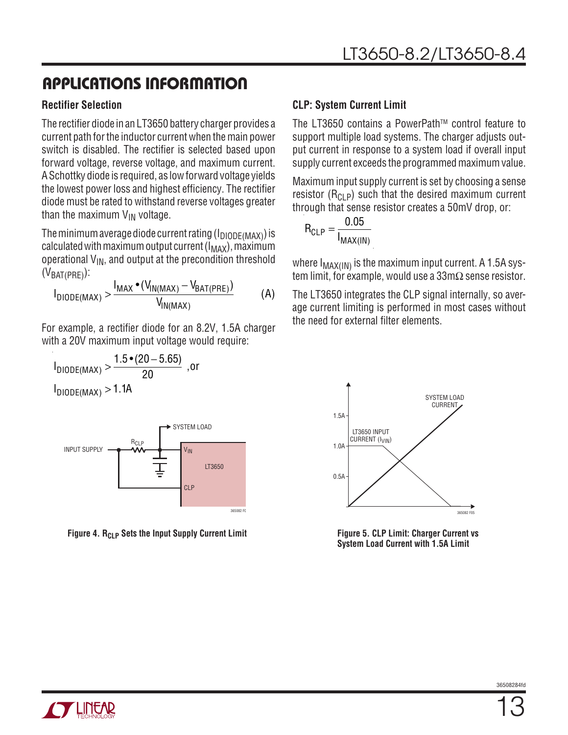### **Rectifier Selection**

The rectifier diode in an LT3650 battery charger provides a current path for the inductor current when the main power switch is disabled. The rectifier is selected based upon forward voltage, reverse voltage, and maximum current. A Schottky diode is required, as low forward voltage yields the lowest power loss and highest efficiency. The rectifier diode must be rated to withstand reverse voltages greater than the maximum  $V_{IN}$  voltage.

The minimum average diode current rating  $(I_{\text{DIODE}(\text{MAX})})$  is calculated with maximum output current ( $I_{MAX}$ ), maximum operational  $V_{IN}$ , and output at the precondition threshold  $(V<sub>BAT(PRF)</sub>)$ :

$$
I_{DIODE(MAX)} > \frac{I_{MAX} \cdot (V_{IN(MAX)} - V_{BAT(PRE)})}{V_{IN(MAX)}}
$$
 (A)

For example, a rectifier diode for an 8.2V, 1.5A charger with a 20V maximum input voltage would require:

$$
I_{DIODE(MAX)} > \frac{1.5 \cdot (20 - 5.65)}{20}
$$
, or  
1.11

 $I_{\text{DIODE}(\text{MAX})}$  > 1.1A



**Figure 4. R<sub>CLP</sub> Sets the Input Supply Current Limit** 

### **CLP: System Current Limit**

The LT3650 contains a PowerPath™ control feature to support multiple load systems. The charger adjusts output current in response to a system load if overall input supply current exceeds the programmed maximum value.

Maximum input supply current is set by choosing a sense resistor  $(R<sub>CI</sub> P)$  such that the desired maximum current through that sense resistor creates a 50mV drop, or:

$$
R_{CLP} = \frac{0.05}{I_{MAX(1N)}}
$$

where I<sub>MAX(IN)</sub> is the maximum input current. A 1.5A system limit, for example, would use a 33m $\Omega$  sense resistor.  $\,$ 

The LT3650 integrates the CLP signal internally, so average current limiting is performed in most cases without the need for external filter elements.



**Figure 5. CLP Limit: Charger Current vs System Load Current with 1.5A Limit**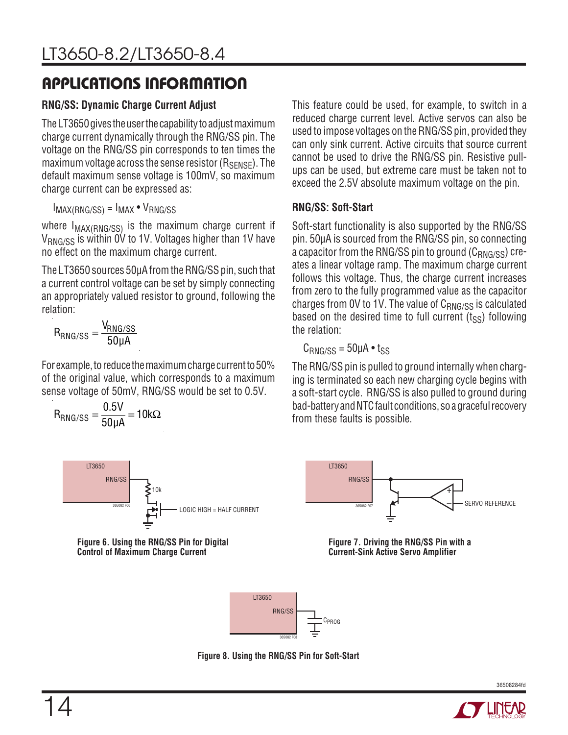### **RNG/SS: Dynamic Charge Current Adjust**

The LT3650 gives the user the capability to adjust maximum charge current dynamically through the RNG/SS pin. The voltage on the RNG/SS pin corresponds to ten times the maximum voltage across the sense resistor  $(R_{\text{SFRSF}})$ . The default maximum sense voltage is 100mV, so maximum charge current can be expressed as:

 $I_{MAX(RNG/SS)} = I_{MAX} \cdot V_{RNG/SS}$ 

where  $I_{MAX(RNG/SS)}$  is the maximum charge current if V<sub>RNG/SS</sub> is within 0V to 1V. Voltages higher than 1V have no effect on the maximum charge current.

The LT3650 sources 50µA from the RNG/SS pin, such that a current control voltage can be set by simply connecting an appropriately valued resistor to ground, following the relation:

$$
R_{RNG/SS} = \frac{V_{RNG/SS}}{50 \mu A}
$$

For example, to reduce the maximum charge current to 50% of the original value, which corresponds to a maximum sense voltage of 50mV, RNG/SS would be set to 0.5V.

$$
R_{RNG/SS} = \frac{0.5V}{50\mu A} = 10k\Omega
$$



**Figure 6. Using the RNG/SS Pin for Digital Control of Maximum Charge Current**

This feature could be used, for example, to switch in a reduced charge current level. Active servos can also be used to impose voltages on the RNG/SS pin, provided they can only sink current. Active circuits that source current cannot be used to drive the RNG/SS pin. Resistive pullups can be used, but extreme care must be taken not to exceed the 2.5V absolute maximum voltage on the pin.

### **RNG/SS: Soft-Start**

Soft-start functionality is also supported by the RNG/SS pin. 50µA is sourced from the RNG/SS pin, so connecting a capacitor from the RNG/SS pin to ground  $(C_{RNG/SS})$  creates a linear voltage ramp. The maximum charge current follows this voltage. Thus, the charge current increases from zero to the fully programmed value as the capacitor charges from 0V to 1V. The value of  $C_{RNG/SS}$  is calculated based on the desired time to full current  $(t_{\rm SS})$  following the relation:

$$
C_{RNG/SS} = 50 \mu A \cdot t_{SS}
$$

The RNG/SS pin is pulled to ground internally when charging is terminated so each new charging cycle begins with a soft-start cycle. RNG/SS is also pulled to ground during bad-battery and NTC fault conditions, so a graceful recovery from these faults is possible.



**Figure 7. Driving the RNG/SS Pin with a Current-Sink Active Servo Amplifier**



**Figure 8. Using the RNG/SS Pin for Soft-Start**

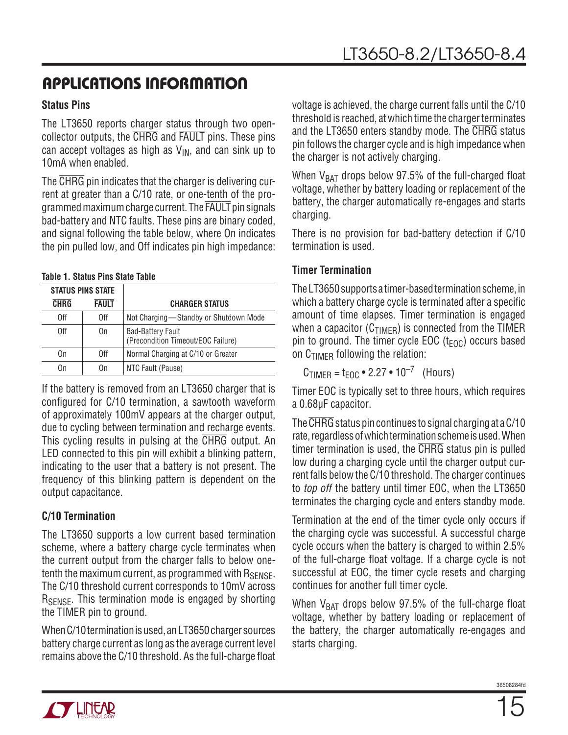### **Status Pins**

The LT3650 reports charger status through two opencollector outputs, the CHRG and FAULT pins. These pins can accept voltages as high as  $V_{IN}$ , and can sink up to 10mA when enabled.

The CHRG pin indicates that the charger is delivering current at greater than a C/10 rate, or one-tenth of the programmed maximum charge current. The FAULT pin signals bad-battery and NTC faults. These pins are binary coded, and signal following the table below, where On indicates the pin pulled low, and Off indicates pin high impedance:

#### **Table 1. Status Pins State Table**

| <b>STATUS PINS STATE</b> |              |                                                                |
|--------------------------|--------------|----------------------------------------------------------------|
| <b>CHRG</b>              | <b>FAULT</b> | <b>CHARGER STATUS</b>                                          |
| 0ff                      | 0ff          | Not Charging-Standby or Shutdown Mode                          |
| 0ff                      | 0n           | <b>Bad-Battery Fault</b><br>(Precondition Timeout/EOC Failure) |
| On                       | 0ff          | Normal Charging at C/10 or Greater                             |
| On                       | On           | NTC Fault (Pause)                                              |

If the battery is removed from an LT3650 charger that is configured for C/10 termination, a sawtooth waveform of approximately 100mV appears at the charger output, due to cycling between termination and recharge events. This cycling results in pulsing at the CHRG output. An LED connected to this pin will exhibit a blinking pattern, indicating to the user that a battery is not present. The frequency of this blinking pattern is dependent on the output capacitance.

### **C/10 Termination**

The LT3650 supports a low current based termination scheme, where a battery charge cycle terminates when the current output from the charger falls to below onetenth the maximum current, as programmed with  $R_{\text{SENSE}}$ . The C/10 threshold current corresponds to 10mV across R<sub>SENSE</sub>. This termination mode is engaged by shorting the TIMER pin to ground.

When C/10 termination is used, an LT3650 charger sources battery charge current as long as the average current level remains above the C/10 threshold. As the full-charge float voltage is achieved, the charge current falls until the C/10 threshold is reached, at which time the charger terminates and the LT3650 enters standby mode. The CHRG status pin follows the charger cycle and is high impedance when the charger is not actively charging.

When  $V_{BAT}$  drops below 97.5% of the full-charged float voltage, whether by battery loading or replacement of the battery, the charger automatically re-engages and starts charging.

There is no provision for bad-battery detection if C/10 termination is used.

### **Timer Termination**

TheLT3650supports a timer-basedterminationscheme, in which a battery charge cycle is terminated after a specific amount of time elapses. Timer termination is engaged when a capacitor ( $C_{TIMER}$ ) is connected from the TIMER pin to ground. The timer cycle EOC ( $t_{EOC}$ ) occurs based on  $C_{\text{TIMFR}}$  following the relation:

 $C_{\text{TIMFR}} = t_{\text{FOC}} \cdot 2.27 \cdot 10^{-7}$  (Hours)

Timer EOC is typically set to three hours, which requires a 0.68µF capacitor.

The CHRG status pin continues to signal charging at a C/10 rate, regardless of which termination scheme is used. When timer termination is used, the CHRG status pin is pulled low during a charging cycle until the charger output current falls below the C/10 threshold. The charger continues to *top off* the battery until timer EOC, when the LT3650 terminates the charging cycle and enters standby mode.

Termination at the end of the timer cycle only occurs if the charging cycle was successful. A successful charge cycle occurs when the battery is charged to within 2.5% of the full-charge float voltage. If a charge cycle is not successful at EOC, the timer cycle resets and charging continues for another full timer cycle.

When  $V_{BAT}$  drops below 97.5% of the full-charge float voltage, whether by battery loading or replacement of the battery, the charger automatically re-engages and starts charging.

36508284fr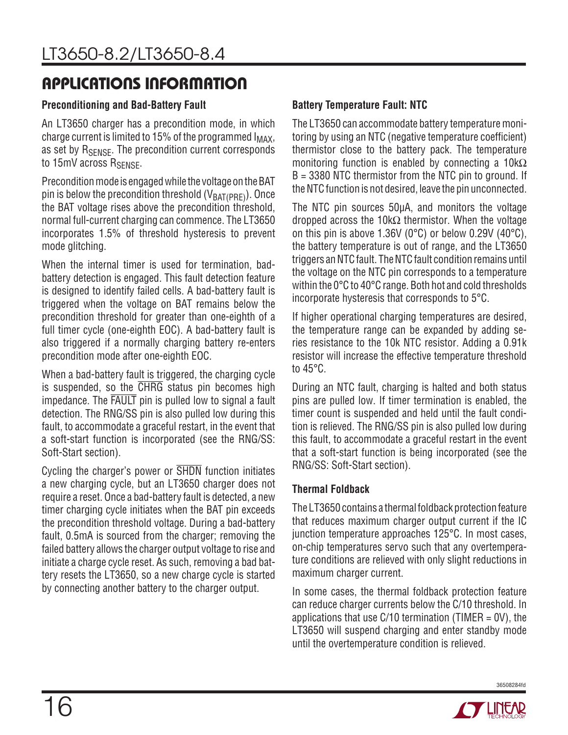### **Preconditioning and Bad-Battery Fault**

An LT3650 charger has a precondition mode, in which charge current is limited to 15% of the programmed  $I_{MAX}$ , as set by R<sub>SENSE</sub>. The precondition current corresponds to  $15mV$  across  $R_{SENSE}$ .

Precondition mode is engaged while the voltage on the BAT pin is below the precondition threshold  $(V<sub>BAT(PBF)</sub>)$ . Once the BAT voltage rises above the precondition threshold, normal full-current charging can commence. The LT3650 incorporates 1.5% of threshold hysteresis to prevent mode glitching.

When the internal timer is used for termination, badbattery detection is engaged. This fault detection feature is designed to identify failed cells. A bad-battery fault is triggered when the voltage on BAT remains below the precondition threshold for greater than one-eighth of a full timer cycle (one-eighth EOC). A bad-battery fault is also triggered if a normally charging battery re-enters precondition mode after one-eighth EOC.

When a bad-battery fault is triggered, the charging cycle is suspended, so the CHRG status pin becomes high impedance. The FAULT pin is pulled low to signal a fault detection. The RNG/SS pin is also pulled low during this fault, to accommodate a graceful restart, in the event that a soft-start function is incorporated (see the RNG/SS: Soft-Start section).

Cycling the charger's power or SHDN function initiates a new charging cycle, but an LT3650 charger does not require a reset. Once a bad-battery fault is detected, a new timer charging cycle initiates when the BAT pin exceeds the precondition threshold voltage. During a bad-battery fault, 0.5mA is sourced from the charger; removing the failed battery allows the charger output voltage to rise and initiate a charge cycle reset. As such, removing a bad battery resets the LT3650, so a new charge cycle is started by connecting another battery to the charger output.

### **Battery Temperature Fault: NTC**

The LT3650 can accommodate battery temperature monitoring by using an NTC (negative temperature coefficient) thermistor close to the battery pack. The temperature monitoring function is enabled by connecting a  $10k\Omega$ B = 3380 NTC thermistor from the NTC pin to ground. If the NTC function is not desired, leave the pin unconnected.

The NTC pin sources 50µA, and monitors the voltage dropped across the 10kΩ thermistor. When the voltage on this pin is above 1.36V (0°C) or below 0.29V (40°C), the battery temperature is out of range, and the LT3650 triggers an NTC fault. The NTC fault condition remains until the voltage on the NTC pin corresponds to a temperature within the 0°C to 40°C range. Both hot and cold thresholds incorporate hysteresis that corresponds to 5°C.

If higher operational charging temperatures are desired, the temperature range can be expanded by adding series resistance to the 10k NTC resistor. Adding a 0.91k resistor will increase the effective temperature threshold to 45°C.

During an NTC fault, charging is halted and both status pins are pulled low. If timer termination is enabled, the timer count is suspended and held until the fault condition is relieved. The RNG/SS pin is also pulled low during this fault, to accommodate a graceful restart in the event that a soft-start function is being incorporated (see the RNG/SS: Soft-Start section).

### **Thermal Foldback**

The LT3650 contains a thermal foldback protection feature that reduces maximum charger output current if the IC junction temperature approaches 125°C. In most cases, on-chip temperatures servo such that any overtemperature conditions are relieved with only slight reductions in maximum charger current.

In some cases, the thermal foldback protection feature can reduce charger currents below the C/10 threshold. In applications that use  $C/10$  termination (TIMER = 0V), the LT3650 will suspend charging and enter standby mode until the overtemperature condition is relieved.

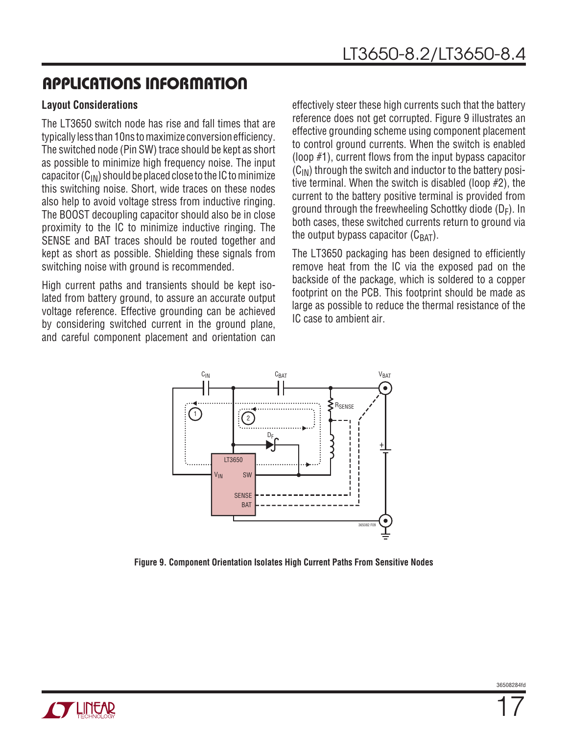### **Layout Considerations**

The LT3650 switch node has rise and fall times that are typically less than 10ns to maximize conversion efficiency. The switched node (Pin SW) trace should be kept as short as possible to minimize high frequency noise. The input capacitor  $(C_{IN})$  should be placed close to the IC to minimize this switching noise. Short, wide traces on these nodes also help to avoid voltage stress from inductive ringing. The BOOST decoupling capacitor should also be in close proximity to the IC to minimize inductive ringing. The SENSE and BAT traces should be routed together and kept as short as possible. Shielding these signals from switching noise with ground is recommended.

High current paths and transients should be kept isolated from battery ground, to assure an accurate output voltage reference. Effective grounding can be achieved by considering switched current in the ground plane, and careful component placement and orientation can

effectively steer these high currents such that the battery reference does not get corrupted. Figure 9 illustrates an effective grounding scheme using component placement to control ground currents. When the switch is enabled (loop #1), current flows from the input bypass capacitor  $(C_{IN})$  through the switch and inductor to the battery positive terminal. When the switch is disabled (loop #2), the current to the battery positive terminal is provided from ground through the freewheeling Schottky diode  $(D_F)$ . In both cases, these switched currents return to ground via the output bypass capacitor  $(C_{BAT})$ .

The LT3650 packaging has been designed to efficiently remove heat from the IC via the exposed pad on the backside of the package, which is soldered to a copper footprint on the PCB. This footprint should be made as large as possible to reduce the thermal resistance of the IC case to ambient air.



**Figure 9. Component Orientation Isolates High Current Paths From Sensitive Nodes**

36508284fr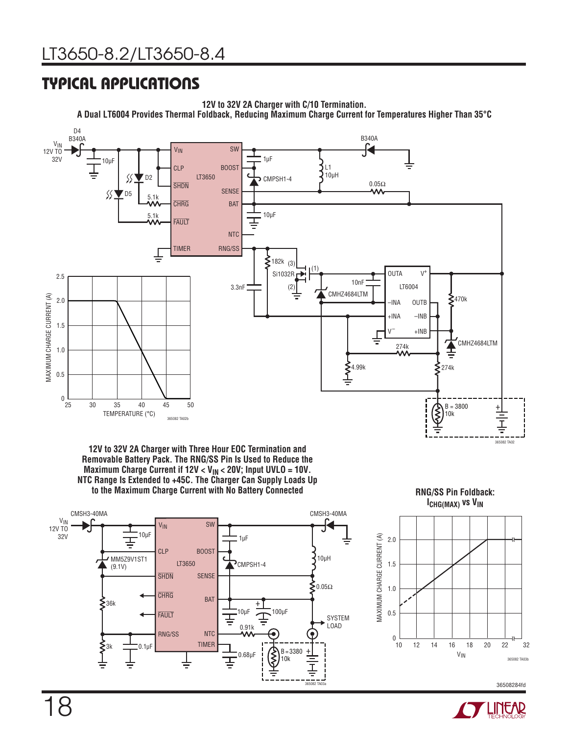## Typical Applications

**12V to 32V 2A Charger with C/10 Termination. A Dual LT6004 Provides Thermal Foldback, Reducing Maximum Charge Current for Temperatures Higher Than 35°C**







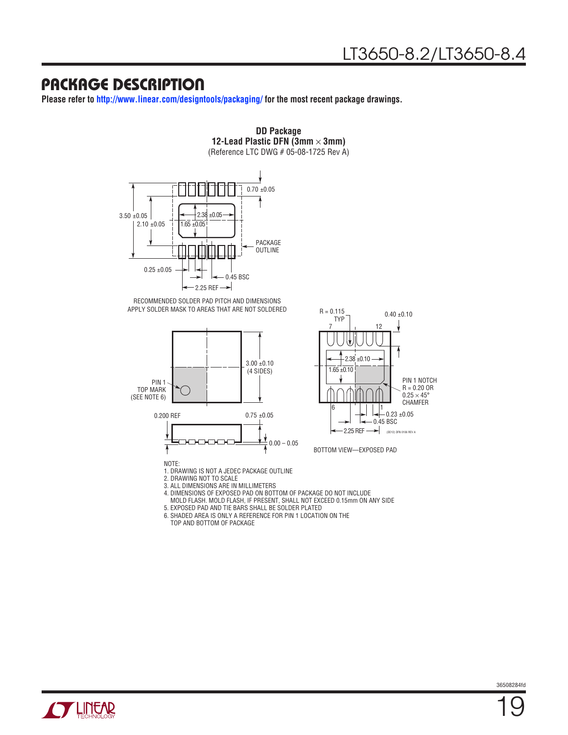### Package Description

**Please refer to http://www.linear.com/designtools/packaging/ for the most recent package drawings.**



RECOMMENDED SOLDER PAD PITCH AND DIMENSIONS APPLY SOLDER MASK TO AREAS THAT ARE NOT SOLDERED





BOTTOM VIEW—EXPOSED PAD

3. ALL DIMENSIONS ARE IN MILLIMETERS 4. DIMENSIONS OF EXPOSED PAD ON BOTTOM OF PACKAGE DO NOT INCLUDE

MOLD FLASH. MOLD FLASH, IF PRESENT, SHALL NOT EXCEED 0.15mm ON ANY SIDE

5. EXPOSED PAD AND TIE BARS SHALL BE SOLDER PLATED

6. SHADED AREA IS ONLY A REFERENCE FOR PIN 1 LOCATION ON THE TOP AND BOTTOM OF PACKAGE

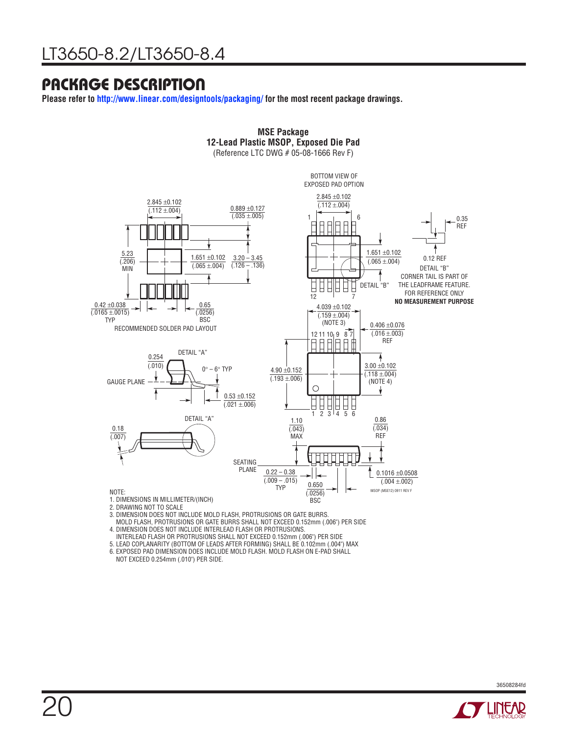### Package Description

**Please refer to http://www.linear.com/designtools/packaging/ for the most recent package drawings.**



**MSE Package**

3. DIMENSION DOES NOT INCLUDE MOLD FLASH, PROTRUSIONS OR GATE BURRS.

MOLD FLASH, PROTRUSIONS OR GATE BURRS SHALL NOT EXCEED 0.152mm (.006") PER SIDE

4. DIMENSION DOES NOT INCLUDE INTERLEAD FLASH OR PROTRUSIONS.

INTERLEAD FLASH OR PROTRUSIONS SHALL NOT EXCEED 0.152mm (.006") PER SIDE

5. LEAD COPLANARITY (BOTTOM OF LEADS AFTER FORMING) SHALL BE 0.102mm (.004") MAX 6. EXPOSED PAD DIMENSION DOES INCLUDE MOLD FLASH. MOLD FLASH ON E-PAD SHALL

NOT EXCEED 0.254mm (.010") PER SIDE.

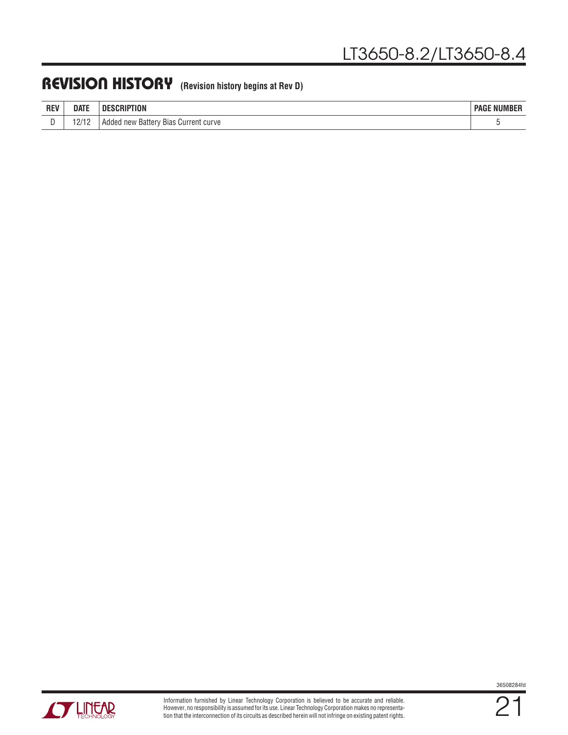### REVISION HISTORY (Revision history begins at Rev D)

| <b>REV</b> | <b>DATE</b>                    | Пŀ<br>HUN<br>ווחי                                           | <b>AUDIARDED</b><br>PAGL<br><b>NUMBER</b> |
|------------|--------------------------------|-------------------------------------------------------------|-------------------------------------------|
|            | 10/10<br>$\overline{a}$<br>. . | <b>Bias</b><br>Current<br>curve<br>- Batter<br>Addec<br>new |                                           |